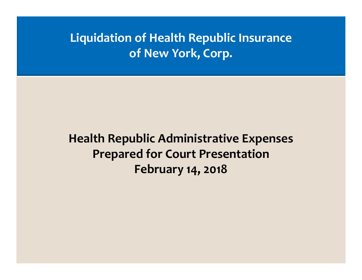# **Liquidation of Health Republic Insurance of New York, Corp.**

# **Health Republic Administrative Expenses Prepared for Court Presentation February 14, 2018**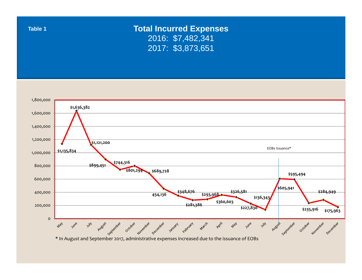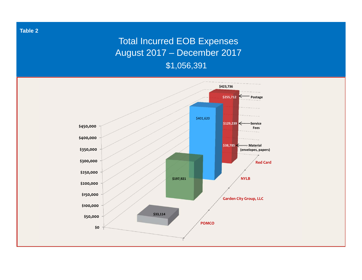## Total Incurred EOB Expenses August 2017 – December 2017

\$1,056,391

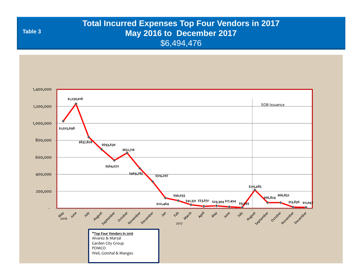## **Total Incurred Expenses Top Four Vendors in 2017 May 2016 to December 2017** \$6,494,476

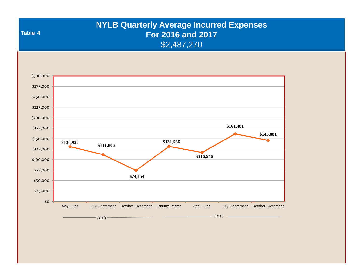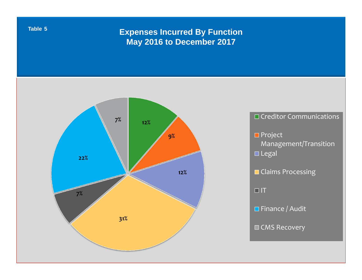### **Expenses Incurred By Function May 2016 to December 2017**

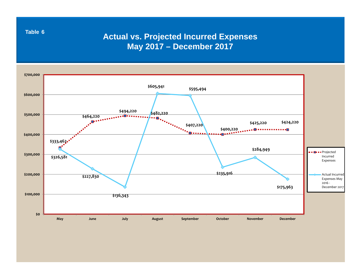**Actual vs. Projected Incurred Expenses May 2017 – December 2017**